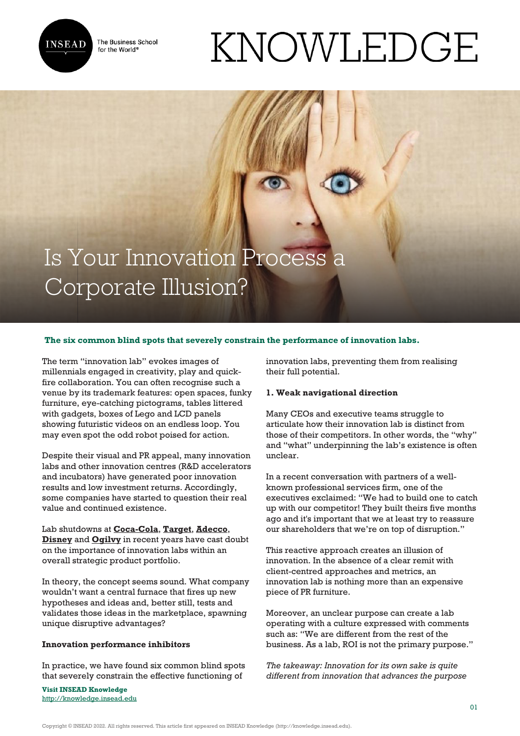

The Business School for the World<sup>®</sup>

# KNOWLEDGE

# Is Your Innovation Process a Corporate Illusion?

## **The six common blind spots that severely constrain the performance of innovation labs.**

The term "innovation lab" evokes images of millennials engaged in creativity, play and quickfire collaboration. You can often recognise such a venue by its trademark features: open spaces, funky furniture, eye-catching pictograms, tables littered with gadgets, boxes of Lego and LCD panels showing futuristic videos on an endless loop. You may even spot the odd robot poised for action.

Despite their visual and PR appeal, many innovation labs and other innovation centres (R&D accelerators and incubators) have generated poor innovation results and low investment returns. Accordingly, some companies have started to question their real value and continued existence.

Lab shutdowns at **[Coca-Cola](https://techcrunch.com/2016/12/29/coca-cola-reportedly-closes-founders-startup-incubator/)**, **[Target](https://www.vox.com/2017/2/2/14484278/target-innovation-projects-shut-down-store-future-goldfish)**, **[Adecco](https://www.bizjournals.com/jacksonville/news/2016/07/27/adeccos-ignite-lab-in-downtown-to-shut-down.html)**, **[Disney](https://www.boston.com/news/innovation/2016/02/11/disney-is-closing-its-research-lab-in-cambridge)** and **[Ogilvy](https://www.thedrum.com/news/2016/08/09/ogilvy-labs-close-and-staff-made-redundant-part-post-brexit-cost-cuts-within-ogilvy)** in recent years have cast doubt on the importance of innovation labs within an overall strategic product portfolio.

In theory, the concept seems sound. What company wouldn't want a central furnace that fires up new hypotheses and ideas and, better still, tests and validates those ideas in the marketplace, spawning unique disruptive advantages?

#### **Innovation performance inhibitors**

In practice, we have found six common blind spots that severely constrain the effective functioning of

**Visit INSEAD Knowledge** <http://knowledge.insead.edu> innovation labs, preventing them from realising their full potential.

#### **1. Weak navigational direction**

Many CEOs and executive teams struggle to articulate how their innovation lab is distinct from those of their competitors. In other words, the "why" and "what" underpinning the lab's existence is often unclear.

In a recent conversation with partners of a wellknown professional services firm, one of the executives exclaimed: "We had to build one to catch up with our competitor! They built theirs five months ago and it's important that we at least try to reassure our shareholders that we're on top of disruption."

This reactive approach creates an illusion of innovation. In the absence of a clear remit with client-centred approaches and metrics, an innovation lab is nothing more than an expensive piece of PR furniture.

Moreover, an unclear purpose can create a lab operating with a culture expressed with comments such as: "We are different from the rest of the business. As a lab, ROI is not the primary purpose."

*The takeaway: Innovation for its own sake is quite different from innovation that advances the purpose*

Copyright © INSEAD 2022. All rights reserved. This article first appeared on INSEAD Knowledge (http://knowledge.insead.edu).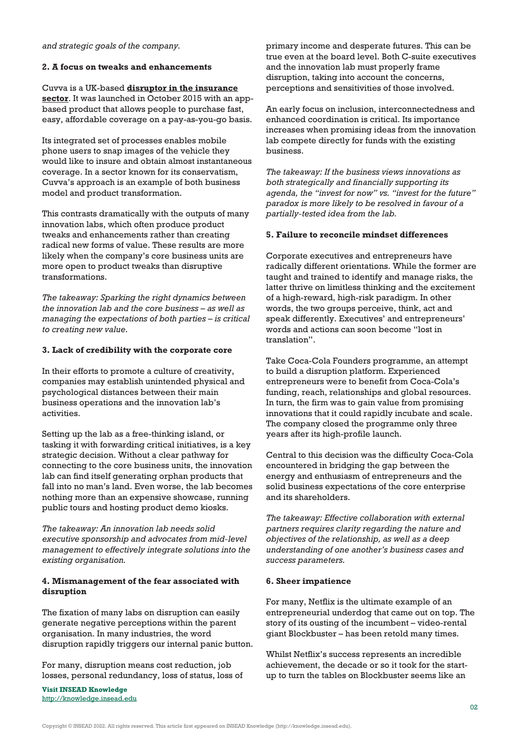#### **2. A focus on tweaks and enhancements**

Cuvva is a UK-based **[disruptor in the insurance](https://knowledge.insead.edu/blog/insead-blog/disrupting-the-car-insurance-industry-8126) [sector](https://knowledge.insead.edu/blog/insead-blog/disrupting-the-car-insurance-industry-8126)**. It was launched in October 2015 with an appbased product that allows people to purchase fast, easy, affordable coverage on a pay-as-you-go basis.

Its integrated set of processes enables mobile phone users to snap images of the vehicle they would like to insure and obtain almost instantaneous coverage. In a sector known for its conservatism, Cuvva's approach is an example of both business model and product transformation.

This contrasts dramatically with the outputs of many innovation labs, which often produce product tweaks and enhancements rather than creating radical new forms of value. These results are more likely when the company's core business units are more open to product tweaks than disruptive transformations.

*The takeaway: Sparking the right dynamics between the innovation lab and the core business – as well as managing the expectations of both parties – is critical to creating new value.* 

### **3. Lack of credibility with the corporate core**

In their efforts to promote a culture of creativity, companies may establish unintended physical and psychological distances between their main business operations and the innovation lab's activities.

Setting up the lab as a free-thinking island, or tasking it with forwarding critical initiatives, is a key strategic decision. Without a clear pathway for connecting to the core business units, the innovation lab can find itself generating orphan products that fall into no man's land. Even worse, the lab becomes nothing more than an expensive showcase, running public tours and hosting product demo kiosks.

*The takeaway: An innovation lab needs solid executive sponsorship and advocates from mid-level management to effectively integrate solutions into the existing organisation.*

### **4. Mismanagement of the fear associated with disruption**

The fixation of many labs on disruption can easily generate negative perceptions within the parent organisation. In many industries, the word disruption rapidly triggers our internal panic button.

For many, disruption means cost reduction, job losses, personal redundancy, loss of status, loss of

**Visit INSEAD Knowledge** <http://knowledge.insead.edu> primary income and desperate futures. This can be true even at the board level. Both C-suite executives and the innovation lab must properly frame disruption, taking into account the concerns, perceptions and sensitivities of those involved.

An early focus on inclusion, interconnectedness and enhanced coordination is critical. Its importance increases when promising ideas from the innovation lab compete directly for funds with the existing business.

*The takeaway: If the business views innovations as both strategically and financially supporting its agenda, the "invest for now" vs. "invest for the future" paradox is more likely to be resolved in favour of a partially-tested idea from the lab.*

### **5. Failure to reconcile mindset differences**

Corporate executives and entrepreneurs have radically different orientations. While the former are taught and trained to identify and manage risks, the latter thrive on limitless thinking and the excitement of a high-reward, high-risk paradigm. In other words, the two groups perceive, think, act and speak differently. Executives' and entrepreneurs' words and actions can soon become "lost in translation".

Take Coca-Cola Founders programme, an attempt to build a disruption platform. Experienced entrepreneurs were to benefit from Coca-Cola's funding, reach, relationships and global resources. In turn, the firm was to gain value from promising innovations that it could rapidly incubate and scale. The company closed the programme only three years after its high-profile launch.

Central to this decision was the difficulty Coca-Cola encountered in bridging the gap between the energy and enthusiasm of entrepreneurs and the solid business expectations of the core enterprise and its shareholders.

*The takeaway: Effective collaboration with external partners requires clarity regarding the nature and objectives of the relationship, as well as a deep understanding of one another's business cases and success parameters.*

#### **6. Sheer impatience**

For many, Netflix is the ultimate example of an entrepreneurial underdog that came out on top. The story of its ousting of the incumbent – video-rental giant Blockbuster – has been retold many times.

Whilst Netflix's success represents an incredible achievement, the decade or so it took for the startup to turn the tables on Blockbuster seems like an

Copyright © INSEAD 2022. All rights reserved. This article first appeared on INSEAD Knowledge (http://knowledge.insead.edu).